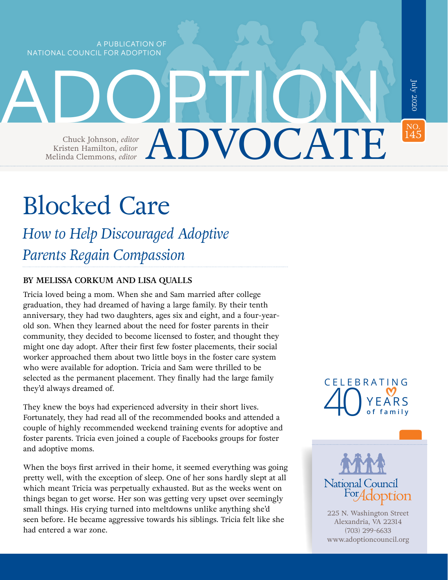A PUBLICATION OF NATIONAL COUNCIL FOR ADOPTION

# ADVOCATE NO.<br>145  $J$ uly 2020 ADOPTION Chuck Johnson, *editor* Kristen Hamilton, *editor* Melinda Clemmons, *editor*

# Blocked Care

*How to Help Discouraged Adoptive Parents Regain Compassion*

#### **BY MELISSA CORKUM AND LISA QUALLS**

Tricia loved being a mom. When she and Sam married after college graduation, they had dreamed of having a large family. By their tenth anniversary, they had two daughters, ages six and eight, and a four-yearold son. When they learned about the need for foster parents in their community, they decided to become licensed to foster, and thought they might one day adopt. After their first few foster placements, their social worker approached them about two little boys in the foster care system who were available for adoption. Tricia and Sam were thrilled to be selected as the permanent placement. They finally had the large family they'd always dreamed of.

They knew the boys had experienced adversity in their short lives. Fortunately, they had read all of the recommended books and attended a couple of highly recommended weekend training events for adoptive and foster parents. Tricia even joined a couple of Facebooks groups for foster and adoptive moms.

When the boys first arrived in their home, it seemed everything was going pretty well, with the exception of sleep. One of her sons hardly slept at all which meant Tricia was perpetually exhausted. But as the weeks went on things began to get worse. Her son was getting very upset over seemingly small things. His crying turned into meltdowns unlike anything she'd seen before. He became aggressive towards his siblings. Tricia felt like she had entered a war zone.

CELEBRATING YEARS 40 **of family**



225 N. Washington Street Alexandria, VA 22314 (703) 299-6633 [www.adoptioncouncil.org](http://www.adoptioncouncil.org)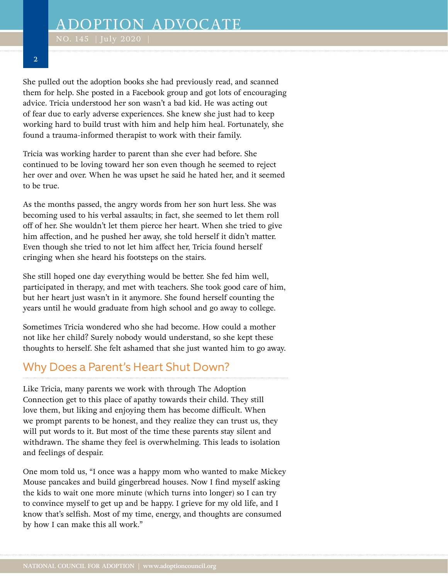NO. 145  $\,$  July 2020  $\,$   $\,$ 

#### **2**

She pulled out the adoption books she had previously read, and scanned them for help. She posted in a Facebook group and got lots of encouraging advice. Tricia understood her son wasn't a bad kid. He was acting out of fear due to early adverse experiences. She knew she just had to keep working hard to build trust with him and help him heal. Fortunately, she found a trauma-informed therapist to work with their family.

Tricia was working harder to parent than she ever had before. She continued to be loving toward her son even though he seemed to reject her over and over. When he was upset he said he hated her, and it seemed to be true.

As the months passed, the angry words from her son hurt less. She was becoming used to his verbal assaults; in fact, she seemed to let them roll off of her. She wouldn't let them pierce her heart. When she tried to give him affection, and he pushed her away, she told herself it didn't matter. Even though she tried to not let him affect her, Tricia found herself cringing when she heard his footsteps on the stairs.

She still hoped one day everything would be better. She fed him well, participated in therapy, and met with teachers. She took good care of him, but her heart just wasn't in it anymore. She found herself counting the years until he would graduate from high school and go away to college.

Sometimes Tricia wondered who she had become. How could a mother not like her child? Surely nobody would understand, so she kept these thoughts to herself. She felt ashamed that she just wanted him to go away.

## Why Does a Parent's Heart Shut Down?

Like Tricia, many parents we work with through The Adoption Connection get to this place of apathy towards their child. They still love them, but liking and enjoying them has become difficult. When we prompt parents to be honest, and they realize they can trust us, they will put words to it. But most of the time these parents stay silent and withdrawn. The shame they feel is overwhelming. This leads to isolation and feelings of despair.

One mom told us, "I once was a happy mom who wanted to make Mickey Mouse pancakes and build gingerbread houses. Now I find myself asking the kids to wait one more minute (which turns into longer) so I can try to convince myself to get up and be happy. I grieve for my old life, and I know that's selfish. Most of my time, energy, and thoughts are consumed by how I can make this all work."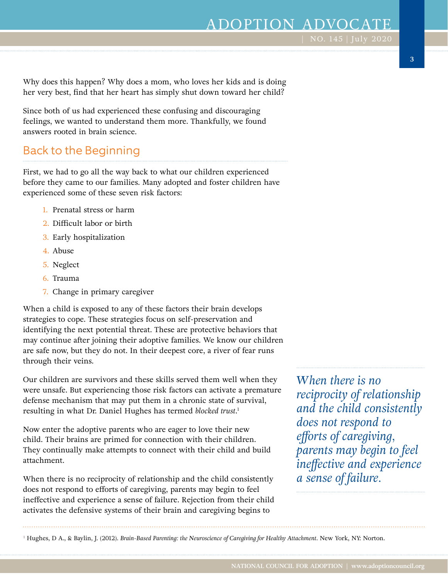**3**

Why does this happen? Why does a mom, who loves her kids and is doing her very best, find that her heart has simply shut down toward her child?

Since both of us had experienced these confusing and discouraging feelings, we wanted to understand them more. Thankfully, we found answers rooted in brain science.

## Back to the Beginning

First, we had to go all the way back to what our children experienced before they came to our families. Many adopted and foster children have experienced some of these seven risk factors:

- 1. Prenatal stress or harm
- 2. Difficult labor or birth
- 3. Early hospitalization
- 4. Abuse
- 5. Neglect
- 6. Trauma
- 7. Change in primary caregiver

When a child is exposed to any of these factors their brain develops strategies to cope. These strategies focus on self-preservation and identifying the next potential threat. These are protective behaviors that may continue after joining their adoptive families. We know our children are safe now, but they do not. In their deepest core, a river of fear runs through their veins.

Our children are survivors and these skills served them well when they were unsafe. But experiencing those risk factors can activate a premature defense mechanism that may put them in a chronic state of survival, resulting in what Dr. Daniel Hughes has termed *blocked trust*. 1

Now enter the adoptive parents who are eager to love their new child. Their brains are primed for connection with their children. They continually make attempts to connect with their child and build attachment.

When there is no reciprocity of relationship and the child consistently does not respond to efforts of caregiving, parents may begin to feel ineffective and experience a sense of failure. Rejection from their child activates the defensive systems of their brain and caregiving begins to

*When there is no reciprocity of relationship and the child consistently does not respond to efforts of caregiving, parents may begin to feel ineffective and experience a sense of failure.*

1 Hughes, D A., & Baylin, J. (2012). *Brain-Based Parenting: the Neuroscience of Caregiving for Healthy Attachment*. New York, NY: Norton.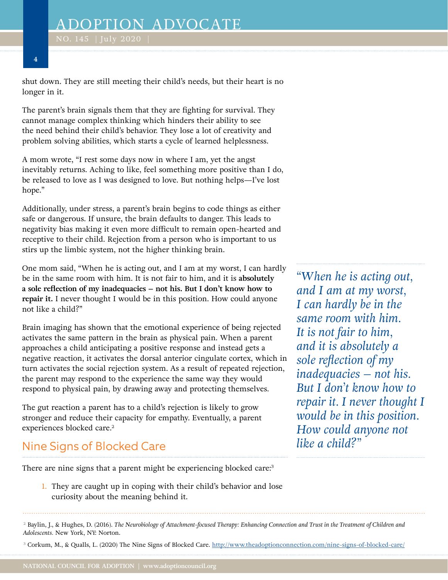NO. 145  $\,$  July 2020  $\,$   $\,$ 

shut down. They are still meeting their child's needs, but their heart is no longer in it.

The parent's brain signals them that they are fighting for survival. They cannot manage complex thinking which hinders their ability to see the need behind their child's behavior. They lose a lot of creativity and problem solving abilities, which starts a cycle of learned helplessness.

A mom wrote, "I rest some days now in where I am, yet the angst inevitably returns. Aching to like, feel something more positive than I do, be released to love as I was designed to love. But nothing helps—I've lost hope."

Additionally, under stress, a parent's brain begins to code things as either safe or dangerous. If unsure, the brain defaults to danger. This leads to negativity bias making it even more difficult to remain open-hearted and receptive to their child. Rejection from a person who is important to us stirs up the limbic system, not the higher thinking brain.

One mom said, "When he is acting out, and I am at my worst, I can hardly be in the same room with him. It is not fair to him, and it is **absolutely a sole reflection of my inadequacies – not his. But I don't know how to repair it.** I never thought I would be in this position. How could anyone not like a child?"

Brain imaging has shown that the emotional experience of being rejected activates the same pattern in the brain as physical pain. When a parent approaches a child anticipating a positive response and instead gets a negative reaction, it activates the dorsal anterior cingulate cortex, which in turn activates the social rejection system. As a result of repeated rejection, the parent may respond to the experience the same way they would respond to physical pain, by drawing away and protecting themselves.

The gut reaction a parent has to a child's rejection is likely to grow stronger and reduce their capacity for empathy. Eventually, a parent experiences blocked care.<sup>2</sup>

# Nine Signs of Blocked Care

There are nine signs that a parent might be experiencing blocked care:<sup>3</sup>

1. They are caught up in coping with their child's behavior and lose curiosity about the meaning behind it.

*"When he is acting out, and I am at my worst, I can hardly be in the same room with him. It is not fair to him, and it is absolutely a sole reflection of my inadequacies – not his. But I don't know how to repair it. I never thought I would be in this position. How could anyone not like a child?"*

<sup>2</sup> Baylin, J., & Hughes, D. (2016). *The Neurobiology of Attachment-focused Therapy: Enhancing Connection and Trust in the Treatment of Children and Adolescents.* New York, NY: Norton.

<sup>3</sup> Corkum, M., & Qualls, L. (2020) The Nine Signs of Blocked Care. <http://www.theadoptionconnection.com/nine-signs-of-blocked-care/>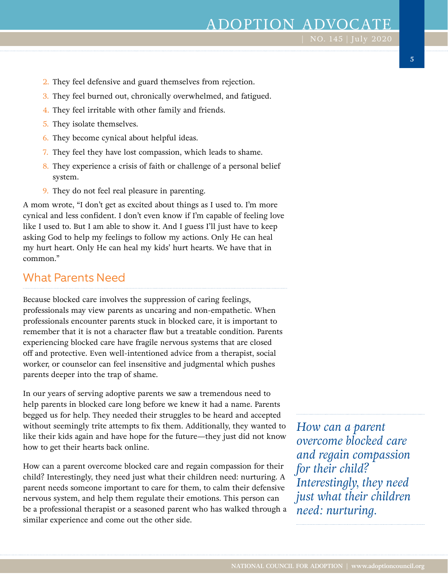# ADOPTION ADVOCAT

| NO. 145 | July 2020

- 2. They feel defensive and guard themselves from rejection.
- 3. They feel burned out, chronically overwhelmed, and fatigued.
- 4. They feel irritable with other family and friends.
- 5. They isolate themselves.
- 6. They become cynical about helpful ideas.
- 7. They feel they have lost compassion, which leads to shame.
- 8. They experience a crisis of faith or challenge of a personal belief system.
- 9. They do not feel real pleasure in parenting.

A mom wrote, "I don't get as excited about things as I used to. I'm more cynical and less confident. I don't even know if I'm capable of feeling love like I used to. But I am able to show it. And I guess I'll just have to keep asking God to help my feelings to follow my actions. Only He can heal my hurt heart. Only He can heal my kids' hurt hearts. We have that in common."

#### What Parents Need

Because blocked care involves the suppression of caring feelings, professionals may view parents as uncaring and non-empathetic. When professionals encounter parents stuck in blocked care, it is important to remember that it is not a character flaw but a treatable condition. Parents experiencing blocked care have fragile nervous systems that are closed off and protective. Even well-intentioned advice from a therapist, social worker, or counselor can feel insensitive and judgmental which pushes parents deeper into the trap of shame.

In our years of serving adoptive parents we saw a tremendous need to help parents in blocked care long before we knew it had a name. Parents begged us for help. They needed their struggles to be heard and accepted without seemingly trite attempts to fix them. Additionally, they wanted to like their kids again and have hope for the future—they just did not know how to get their hearts back online.

How can a parent overcome blocked care and regain compassion for their child? Interestingly, they need just what their children need: nurturing. A parent needs someone important to care for them, to calm their defensive nervous system, and help them regulate their emotions. This person can be a professional therapist or a seasoned parent who has walked through a similar experience and come out the other side.

*How can a parent overcome blocked care and regain compassion for their child? Interestingly, they need just what their children need: nurturing.*

**5**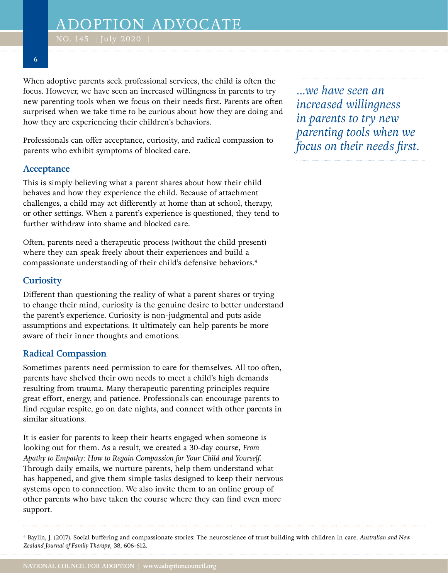NO. 145  $\,$  July 2020  $\,$   $\,$ 

**6**

When adoptive parents seek professional services, the child is often the focus. However, we have seen an increased willingness in parents to try new parenting tools when we focus on their needs first. Parents are often surprised when we take time to be curious about how they are doing and how they are experiencing their children's behaviors.

Professionals can offer acceptance, curiosity, and radical compassion to parents who exhibit symptoms of blocked care.

#### **Acceptance**

This is simply believing what a parent shares about how their child behaves and how they experience the child. Because of attachment challenges, a child may act differently at home than at school, therapy, or other settings. When a parent's experience is questioned, they tend to further withdraw into shame and blocked care.

Often, parents need a therapeutic process (without the child present) where they can speak freely about their experiences and build a compassionate understanding of their child's defensive behaviors.4

#### **Curiosity**

Different than questioning the reality of what a parent shares or trying to change their mind, curiosity is the genuine desire to better understand the parent's experience. Curiosity is non-judgmental and puts aside assumptions and expectations. It ultimately can help parents be more aware of their inner thoughts and emotions.

#### **Radical Compassion**

Sometimes parents need permission to care for themselves. All too often, parents have shelved their own needs to meet a child's high demands resulting from trauma. Many therapeutic parenting principles require great effort, energy, and patience. Professionals can encourage parents to find regular respite, go on date nights, and connect with other parents in similar situations.

It is easier for parents to keep their hearts engaged when someone is looking out for them. As a result, we created a 30-day course, *From Apathy to Empathy: How to Regain Compassion for Your Child and Yourself*. Through daily emails, we nurture parents, help them understand what has happened, and give them simple tasks designed to keep their nervous systems open to connection. We also invite them to an online group of other parents who have taken the course where they can find even more support.

*...we have seen an increased willingness in parents to try new parenting tools when we focus on their needs first.*

<sup>4</sup> Baylin, J. (2017). Social buffering and compassionate stories: The neuroscience of trust building with children in care. *Australian and New Zealand Journal of Family Therapy*, 38, 606-612.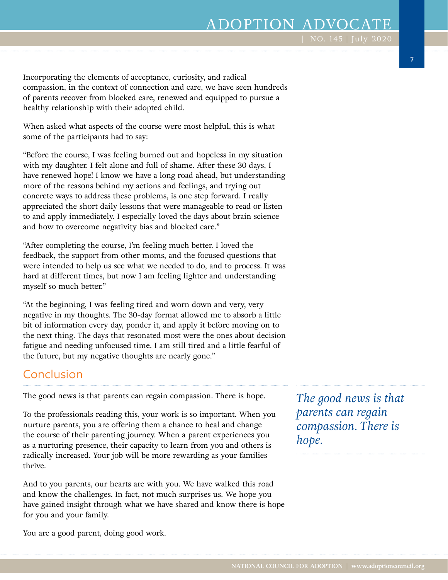# ADOPTION ADVOCAT

Incorporating the elements of acceptance, curiosity, and radical compassion, in the context of connection and care, we have seen hundreds of parents recover from blocked care, renewed and equipped to pursue a healthy relationship with their adopted child.

When asked what aspects of the course were most helpful, this is what some of the participants had to say:

"Before the course, I was feeling burned out and hopeless in my situation with my daughter. I felt alone and full of shame. After these 30 days, I have renewed hope! I know we have a long road ahead, but understanding more of the reasons behind my actions and feelings, and trying out concrete ways to address these problems, is one step forward. I really appreciated the short daily lessons that were manageable to read or listen to and apply immediately. I especially loved the days about brain science and how to overcome negativity bias and blocked care."

"After completing the course, I'm feeling much better. I loved the feedback, the support from other moms, and the focused questions that were intended to help us see what we needed to do, and to process. It was hard at different times, but now I am feeling lighter and understanding myself so much better."

"At the beginning, I was feeling tired and worn down and very, very negative in my thoughts. The 30-day format allowed me to absorb a little bit of information every day, ponder it, and apply it before moving on to the next thing. The days that resonated most were the ones about decision fatigue and needing unfocused time. I am still tired and a little fearful of the future, but my negative thoughts are nearly gone."

## Conclusion

The good news is that parents can regain compassion. There is hope.

To the professionals reading this, your work is so important. When you nurture parents, you are offering them a chance to heal and change the course of their parenting journey. When a parent experiences you as a nurturing presence, their capacity to learn from you and others is radically increased. Your job will be more rewarding as your families thrive.

And to you parents, our hearts are with you. We have walked this road and know the challenges. In fact, not much surprises us. We hope you have gained insight through what we have shared and know there is hope for you and your family.

*The good news is that parents can regain compassion. There is hope.*

You are a good parent, doing good work.